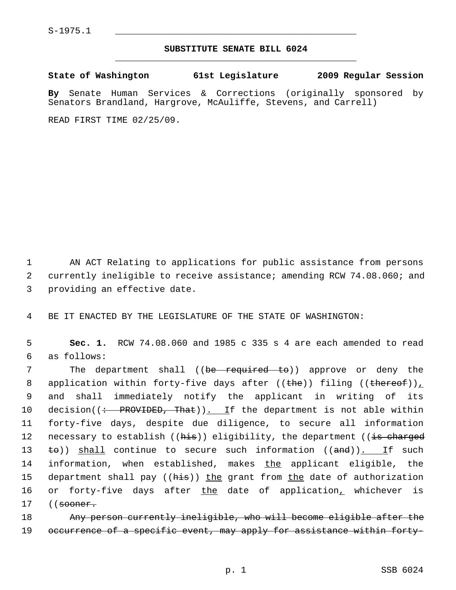## **SUBSTITUTE SENATE BILL 6024** \_\_\_\_\_\_\_\_\_\_\_\_\_\_\_\_\_\_\_\_\_\_\_\_\_\_\_\_\_\_\_\_\_\_\_\_\_\_\_\_\_\_\_\_\_

**State of Washington 61st Legislature 2009 Regular Session**

**By** Senate Human Services & Corrections (originally sponsored by Senators Brandland, Hargrove, McAuliffe, Stevens, and Carrell)

READ FIRST TIME 02/25/09.

 1 AN ACT Relating to applications for public assistance from persons 2 currently ineligible to receive assistance; amending RCW 74.08.060; and 3 providing an effective date.

4 BE IT ENACTED BY THE LEGISLATURE OF THE STATE OF WASHINGTON:

 5 **Sec. 1.** RCW 74.08.060 and 1985 c 335 s 4 are each amended to read 6 as follows:

7 The department shall ((be required to)) approve or deny the 8 application within forty-five days after  $((the))$  filing  $((the tree of))_+$  9 and shall immediately notify the applicant in writing of its 10 decision( $\left($  + PROVIDED, That)). If the department is not able within 11 forty-five days, despite due diligence, to secure all information 12 necessary to establish ((his)) eligibility, the department ((is charged 13  $\pm$ o)) shall continue to secure such information ((and)). If such 14 information, when established, makes the applicant eligible, the 15 department shall pay ((his)) the grant from the date of authorization 16 or forty-five days after the date of application, whichever is 17 ((<del>sooner.</del>

18 Any person currently ineligible, who will become eligible after the 19 occurrence of a specific event, may apply for assistance within forty